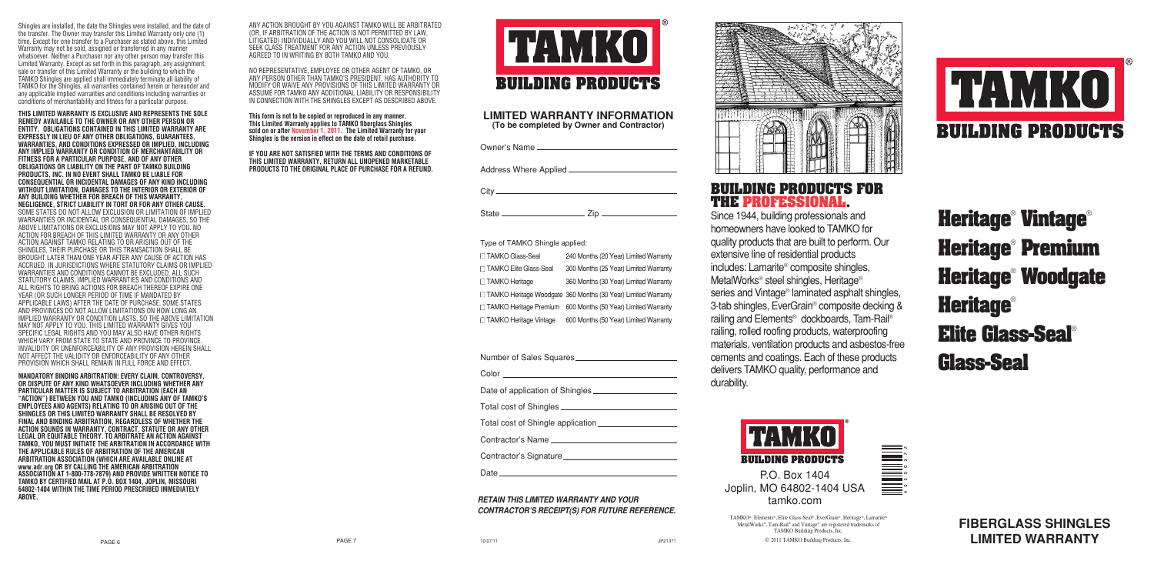**FIBERGLASS SHINGLES LIMITED WARRANTY**

# **Heritage**® **Vintage**® **Heritage**® **Premium Heritage**® **Woodgate Heritage**® **Elite Glass-Seal**® **Glass-Seal**





**THIS LIMITED WARRANTY IS EXCLUSIVE AND REPRESENTS THE SOLE REMEDY AVAILABLE TO THE OWNER OR ANY OTHER PERSON OR ENTITY. OBLIGATIONS CONTAINED IN THIS LIMITED WARRANTY ARE EXPRESSLY IN LIEU OF ANY OTHER OBLIGATIONS, GUARANTEES, WARRANTIES, AND CONDITIONS EXPRESSED OR IMPLIED, INCLUDING ANY IMPLIED WARRANTY OR CONDITION OF MERCHANTABILITY OR FITNESS FOR A PARTICULAR PURPOSE, AND OF ANY OTHER OBLIGATIONS OR LIABILITY ON THE PART OF TAMKO BUILDING PRODUCTS, INC. IN NO EVENT SHALL TAMKO BE LIABLE FOR CONSEQUENTIAL OR INCIDENTAL DAMAGES OF ANY KIND INCLUDING WITHOUT LIMITATION, DAMAGES TO THE INTERIOR OR EXTERIOR OF ANY BUILDING WHETHER FOR BREACH OF THIS WARRANTY, NEGLIGENCE, STRICT LIABILITY IN TORT OR FOR ANY OTHER CAUSE.** SOME STATES DO NOT ALLOW EXCLUSION OR LIMITATION OF IMPLIED WARRANTIES OR INCIDENTAL OR CONSEQUENTIAL DAMAGES, SO THE ABOVE LIMITATIONS OR EXCLUSIONS MAY NOT APPLY TO YOU. NO ACTION FOR BREACH OF THIS LIMITED WARRANTY OR ANY OTHER ACTION AGAINST TAMKO RELATING TO OR ARISING OUT OF THE SHINGLES, THEIR PURCHASE OR THIS TRANSACTION SHALL BE BROUGHT LATER THAN ONE YEAR AFTER ANY CAUSE OF ACTION HAS ACCRUED. IN JURISDICTIONS WHERE STATUTORY CLAIMS OR IMPLIED WARRANTIES AND CONDITIONS CANNOT BE EXCLUDED, ALL SUCH STATUTORY CLAIMS, IMPLIED WARRANTIES AND CONDITIONS AND ALL RIGHTS TO BRING ACTIONS FOR BREACH THEREOF EXPIRE ONE YEAR (OR SUCH LONGER PERIOD OF TIME IF MANDATED BY APPLICABLE LAWS) AFTER THE DATE OF PURCHASE. SOME STATES AND PROVINCES DO NOT ALLOW LIMITATIONS ON HOW LONG AN IMPLIED WARRANTY OR CONDITION LASTS, SO THE ABOVE LIMITATION MAY NOT APPLY TO YOU. THIS LIMITED WARRANTY GIVES YOU SPECIFIC LEGAL RIGHTS AND YOU MAY ALSO HAVE OTHER RIGHTS WHICH VARY FROM STATE TO STATE AND PROVINCE TO PROVINCE INVALIDITY OR UNENFORCEABILITY OF ANY PROVISION HEREIN SHALL NOT AFFECT THE VALIDITY OR ENFORCEABILITY OF ANY OTHER PROVISION WHICH SHALL REMAIN IN FULL FORCE AND EFFECT

Shingles are installed, the date the Shingles were installed, and the date of the transfer. The Owner may transfer this Limited Warranty only one (1) time. Except for one transfer to a Purchaser as stated above, this Limited Warranty may not be sold, assigned or transferred in any manner whatsoever. Neither a Purchaser nor any other person may transfer this Limited Warranty. Except as set forth in this paragraph, any assignment sale or transfer of this Limited Warranty or the building to which the TAMKO Shingles are applied shall immediately terminate all liability of TAMKO for the Shingles, all warranties contained herein or hereunder and any applicable implied warranties and conditions including warranties or conditions of merchantability and fitness for a particular purpose.

**MANDATORY BINDING ARBITRATION: EVERY CLAIM, CONTROVERSY, OR DISPUTE OF ANY KIND WHATSOEVER INCLUDING WHETHER ANY PARTICULAR MATTER IS SUBJECT TO ARBITRATION (EACH AN "ACTION") BETWEEN YOU AND TAMKO (INCLUDING ANY OF TAMKO'S EMPLOYEES AND AGENTS) RELATING TO OR ARISING OUT OF THE SHINGLES OR THIS LIMITED WARRANTY SHALL BE RESOLVED BY FINAL AND BINDING ARBITRATION, REGARDLESS OF WHETHER THE ACTION SOUNDS IN WARRANTY, CONTRACT, STATUTE OR ANY OTHER LEGAL OR EQUITABLE THEORY. TO ARBITRATE AN ACTION AGAINST TAMKO, YOU MUST INITIATE THE ARBITRATION IN ACCORDANCE WITH THE APPLICABLE RULES OF ARBITRATION OF THE AMERICAN ARBITRATION ASSOCIATION (WHICH ARE AVAILABLE ONLINE AT www.adr.org OR BY CALLING THE AMERICAN ARBITRATION ASSOCIATION AT 1-800-778-7879) AND PROVIDE WRITTEN NOTICE TO TAMKO BY CERTIFIED MAIL AT P.O. BOX 1404, JOPLIN, MISSOURI 64802-1404 WITHIN THE TIME PERIOD PRESCRIBED IMMEDIATELY ABOVE.**





# **LIMITED WARRANTY INFORMATION (To be completed by Owner and Contractor)**

Owner's Name

Address Where Applied

City<sub>-</sub>

State Zip

## Type of TAMKO Shingle applied:

| □ TAMKO Glass-Seal       | 240 Months (20 Year) Limited Warranty                           |
|--------------------------|-----------------------------------------------------------------|
| □ TAMKO Elite Glass-Seal | 300 Months (25 Year) Limited Warranty                           |
| □ TAMKO Heritage         | 360 Months (30 Year) Limited Warranty                           |
|                          | □ TAMKO Heritage Woodgate 360 Months (30 Year) Limited Warranty |
| □ TAMKO Heritage Premium | 600 Months (50 Year) Limited Warranty                           |
| □ TAMKO Heritage Vintage | 600 Months (50 Year) Limited Warranty                           |

|       | Number of Sales Squares_ |  |
|-------|--------------------------|--|
| Color |                          |  |

Date of application of Shingles

Total cost of Shingles

Total cost of Shingle application

Contractor's Name

Contractor's Signature

Date

# **BUILDING PRODUCTS FOR THE PROFESSIONAL.**

Since 1944, building professionals and homeowners have looked to TAMKO for quality products that are built to perform. Our extensive line of residential products includes: Lamarite® composite shingles, MetalWorks® steel shingles, Heritage® series and Vintage® laminated asphalt shingles, 3-tab shingles, EverGrain® composite decking & railing and Elements® dockboards, Tam-Rail® railing, rolled roofing products, waterproofing materials, ventilation products and asbestos-free cements and coatings. Each of these products delivers TAMKO quality, performance and durability.



P.O. Box 1404 Joplin, MO 64802-1404 USA tamko.com

TAMKO®, Elements®, Elite Glass-Seal®, EverGrain®, Heritage®, Lamarite® MetalWorks®, Tam-Rail® and Vintage® are registered trademarks of TAMKO Building Products, Inc. © 2011 TAMKO Building Products, Inc.

# **RETAIN THIS LIMITED WARRANTY AND YOUR CONTRACTOR'S RECEIPT(S) FOR FUTURE REFERENCE.**



ANY ACTION BROUGHT BY YOU AGAINST TAMKO WILL BE ARBITRATED (OR, IF ARBITRATION OF THE ACTION IS NOT PERMITTED BY LAW, LITIGATED) INDIVIDUALLY AND YOU WILL NOT CONSOLIDATE OR SEEK CLASS TREATMENT FOR ANY ACTION UNLESS PREVIOUSLY AGREED TO IN WRITING BY BOTH TAMKO AND YOU.

NO REPRESENTATIVE, EMPLOYEE OR OTHER AGENT OF TAMKO, OR ANY PERSON OTHER THAN TAMKO'S PRESIDENT, HAS AUTHORITY TO MODIFY OR WAIVE ANY PROVISIONS OF THIS LIMITED WARRANTY OR ASSUME FOR TAMKO ANY ADDITIONAL LIABILITY OR RESPONSIBILITY IN CONNECTION WITH THE SHINGLES EXCEPT AS DESCRIBED ABOVE.

**This form is not to be copied or reproduced in any manner. This Limited Warranty applies to TAMKO fiberglass Shingles sold on or after November 1, 2011. The Limited Warranty for your Shingles is the version in effect on the date of retail purchase.** 

**IF YOU ARE NOT SATISFIED WITH THE TERMS AND CONDITIONS OF THIS LIMITED WARRANTY, RETURN ALL UNOPENED MARKETABLE PRODUCTS TO THE ORIGINAL PLACE OF PURCHASE FOR A REFUND.**